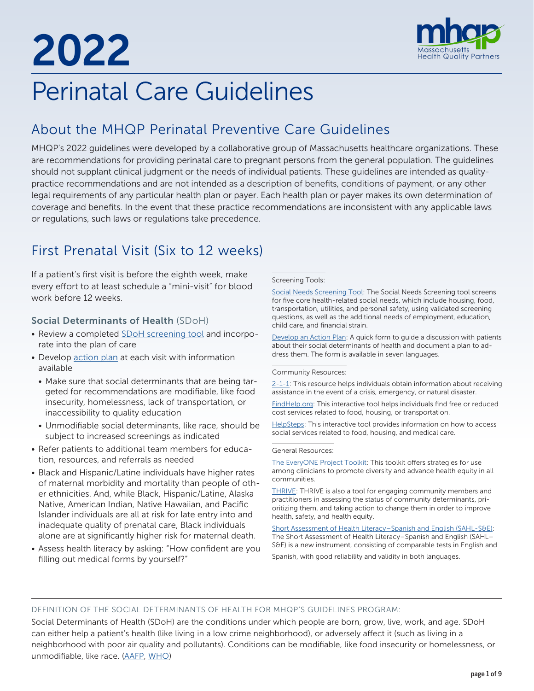2022



# Perinatal Care Guidelines

# About the MHQP Perinatal Preventive Care Guidelines

MHQP's 2022 guidelines were developed by a collaborative group of Massachusetts healthcare organizations. These are recommendations for providing perinatal care to pregnant persons from the general population. The guidelines should not supplant clinical judgment or the needs of individual patients. These guidelines are intended as qualitypractice recommendations and are not intended as a description of benefits, conditions of payment, or any other legal requirements of any particular health plan or payer. Each health plan or payer makes its own determination of coverage and benefits. In the event that these practice recommendations are inconsistent with any applicable laws or regulations, such laws or regulations take precedence.

# First Prenatal Visit (Six to 12 weeks)

If a patient's first visit is before the eighth week, make every effort to at least schedule a "mini-visit" for blood work before 12 weeks.

# Social Determinants of Health (SDoH)

- Review a completed **SDoH** screening tool and incorporate into the plan of care
- Develop [action plan](https://www.aafp.org/dam/AAFP/documents/patient_care/everyone_project/action-plan.pdf) at each visit with information available
	- Make sure that social determinants that are being targeted for recommendations are modifiable, like food insecurity, homelessness, lack of transportation, or inaccessibility to quality education
	- Unmodifiable social determinants, like race, should be subject to increased screenings as indicated
- Refer patients to additional team members for education, resources, and referrals as needed
- Black and Hispanic/Latine individuals have higher rates of maternal morbidity and mortality than people of other ethnicities. And, while Black, Hispanic/Latine, Alaska Native, American Indian, Native Hawaiian, and Pacific Islander individuals are all at risk for late entry into and inadequate quality of prenatal care, Black individuals alone are at significantly higher risk for maternal death.
- Assess health literacy by asking: "How confident are you filling out medical forms by yourself?"

#### Screening Tools:

[Social Needs Screening Tool](https://www.aafp.org/dam/AAFP/documents/patient_care/everyone_project/hops19-physician-form-sdoh.pdf): The Social Needs Screening tool screens for five core health-related social needs, which include housing, food, transportation, utilities, and personal safety, using validated screening questions, as well as the additional needs of employment, education, child care, and financial strain.

[Develop an Action Plan:](https://www.aafp.org/dam/AAFP/documents/patient_care/everyone_project/action-plan.pdf) A quick form to guide a discussion with patients about their social determinants of health and document a plan to address them. The form is available in seven languages.

#### Community Resources:

[2-1-1:](https://www.211.org/) This resource helps individuals obtain information about receiving assistance in the event of a crisis, emergency, or natural disaster.

[FindHelp.org:](https://www.findhelp.org/) This interactive tool helps individuals find free or reduced cost services related to food, housing, or transportation.

[HelpSteps:](https://www.helpsteps.com/#/) This interactive tool provides information on how to access social services related to food, housing, and medical care.

#### General Resources:

[The EveryONE Project Toolkit](https://www.aafp.org/family-physician/patient-care/the-everyone-project/toolkit.html): This toolkit offers strategies for use among clinicians to promote diversity and advance health equity in all communities.

[THRIVE](https://www.preventioninstitute.org/tools/thrive-tool-health-resilience-vulnerable-environments): THRIVE is also a tool for engaging community members and practitioners in assessing the status of community determinants, prioritizing them, and taking action to change them in order to improve health, safety, and health equity.

[Short Assessment of Health Literacy–Spanish and English \(SAHL-S&E\):](https://www.ahrq.gov/health-literacy/research/tools/index.html) The Short Assessment of Health Literacy–Spanish and English (SAHL– S&E) is a new instrument, consisting of comparable tests in English and Spanish, with good reliability and validity in both languages.

## DEFINITION OF THE SOCIAL DETERMINANTS OF HEALTH FOR MHQP'S GUIDELINES PROGRAM:

Social Determinants of Health (SDoH) are the conditions under which people are born, grow, live, work, and age. SDoH can either help a patient's health (like living in a low crime neighborhood), or adversely affect it (such as living in a neighborhood with poor air quality and pollutants). Conditions can be modifiable, like food insecurity or homelessness, or unmodifiable, like race. ([AAFP](https://www.aafp.org/home.html), WHO)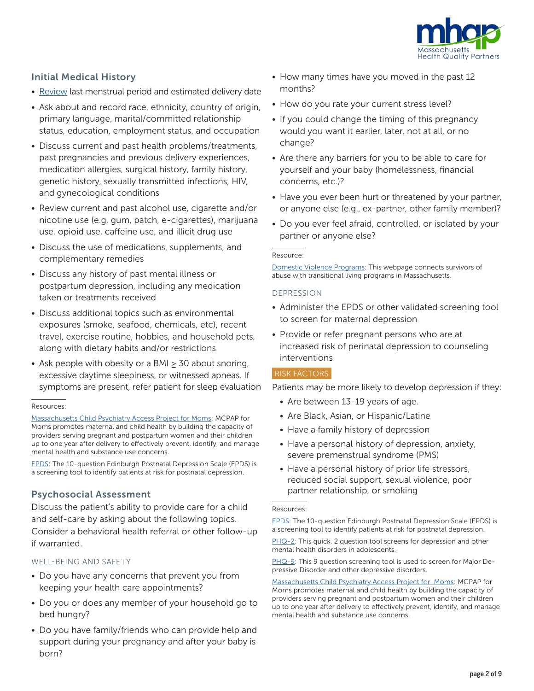

# Initial Medical History

- Review last menstrual period and estimated delivery date
- Ask about and record race, ethnicity, country of origin, primary language, marital/committed relationship status, education, employment status, and occupation
- Discuss current and past health problems/treatments, past pregnancies and previous delivery experiences, medication allergies, surgical history, family history, genetic history, sexually transmitted infections, HIV, and gynecological conditions
- Review current and past alcohol use, cigarette and/or nicotine use (e.g. gum, patch, e-cigarettes), marijuana use, opioid use, caffeine use, and illicit drug use
- Discuss the use of medications, supplements, and complementary remedies
- Discuss any history of past mental illness or postpartum depression, including any medication taken or treatments received
- Discuss additional topics such as environmental exposures (smoke, seafood, chemicals, etc), recent travel, exercise routine, hobbies, and household pets, along with dietary habits and/or restrictions
- Ask people with obesity or a BMI ≥ 30 about snoring, excessive daytime sleepiness, or witnessed apneas. If symptoms are present, refer patient for sleep evaluation

#### Resources:

[Massachusetts Child Psychiatry Access Project for Moms](https://www.mcpapformoms.org/): MCPAP for Moms promotes maternal and child health by building the capacity of providers serving pregnant and postpartum women and their children up to one year after delivery to effectively prevent, identify, and manage mental health and substance use concerns.

[EPDS:](https://psychology-tools.com/epds/) The 10-question Edinburgh Postnatal Depression Scale (EPDS) is a screening tool to identify patients at risk for postnatal depression.

# Psychosocial Assessment

Discuss the patient's ability to provide care for a child and self-care by asking about the following topics. Consider a behavioral health referral or other follow-up if warranted.

# WELL-BEING AND SAFETY

- Do you have any concerns that prevent you from keeping your health care appointments?
- Do you or does any member of your household go to bed hungry?
- Do you have family/friends who can provide help and support during your pregnancy and after your baby is born?
- How many times have you moved in the past 12 months?
- How do you rate your current stress level?
- If you could change the timing of this pregnancy would you want it earlier, later, not at all, or no change?
- Are there any barriers for you to be able to care for yourself and your baby (homelessness, financial concerns, etc.)?
- Have you ever been hurt or threatened by your partner, or anyone else (e.g., ex-partner, other family member)?
- Do you ever feel afraid, controlled, or isolated by your partner or anyone else?

#### Resource:

[Domestic Violence Programs](https://www.mass.gov/service-details/domestic-violence-programs-for-survivors): This webpage connects survivors of abuse with transitional living programs in Massachusetts.

# DEPRESSION

- Administer the EPDS or other validated screening tool to screen for maternal depression
- Provide or refer pregnant persons who are at increased risk of perinatal depression to counseling interventions

# RISK FACTORS

Patients may be more likely to develop depression if they:

- Are between 13-19 years of age.
- Are Black, Asian, or Hispanic/Latine
- Have a family history of depression
- Have a personal history of depression, anxiety, severe premenstrual syndrome (PMS)
- Have a personal history of prior life stressors, reduced social support, sexual violence, poor partner relationship, or smoking

#### Resources:

[EPDS:](https://www.fresno.ucsf.edu/pediatrics/downloads/edinburghscale.pdf) The 10-question Edinburgh Postnatal Depression Scale (EPDS) is a screening tool to identify patients at risk for postnatal depression.

[PHQ-2:](https://cde.drugabuse.gov/sites/nida_cde/files/PatientHealthQuestionnaire-2_v1.0_2014Jul2.pdf) This quick, 2 question tool screens for depression and other mental health disorders in adolescents.

[PHQ-9](https://www.phqscreeners.com/images/sites/g/files/g10060481/f/201412/PHQ-9_English.pdf): This 9 question screening tool is used to screen for Major Depressive Disorder and other depressive disorders.

[Massachusetts Child Psychiatry Access Project for Moms](https://www.mcpapformoms.org/): MCPAP for Moms promotes maternal and child health by building the capacity of providers serving pregnant and postpartum women and their children up to one year after delivery to effectively prevent, identify, and manage mental health and substance use concerns.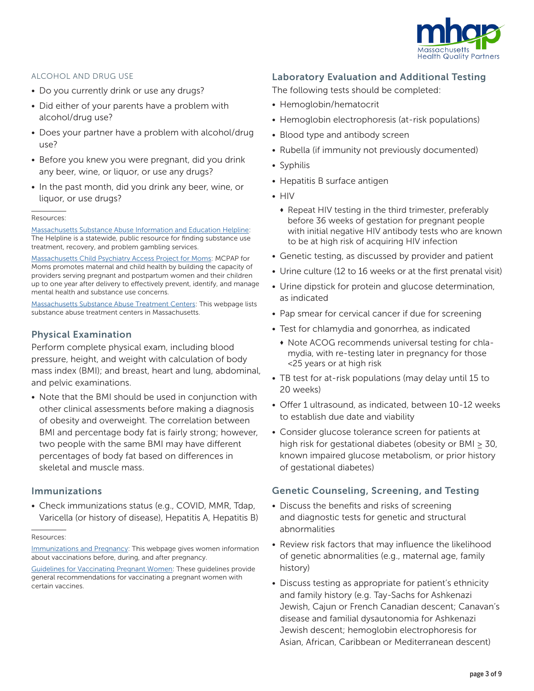

#### ALCOHOL AND DRUG USE

- Do you currently drink or use any drugs?
- Did either of your parents have a problem with alcohol/drug use?
- Does your partner have a problem with alcohol/drug use?
- Before you knew you were pregnant, did you drink any beer, wine, or liquor, or use any drugs?
- In the past month, did you drink any beer, wine, or liquor, or use drugs?

#### Resources:

[Massachusetts Substance Abuse Information and Education Helpline](https://helplinema.org/): The Helpline is a statewide, public resource for finding substance use treatment, recovery, and problem gambling services.

[Massachusetts Child Psychiatry Access Project for Moms](https://www.mcpapformoms.org/): MCPAP for Moms promotes maternal and child health by building the capacity of providers serving pregnant and postpartum women and their children up to one year after delivery to effectively prevent, identify, and manage mental health and substance use concerns.

[Massachusetts Substance Abuse Treatment Centers](http://drugabuse.com/usa/drug-abuse/massachusetts/): This webpage lists substance abuse treatment centers in Massachusetts.

# Physical Examination

Perform complete physical exam, including blood pressure, height, and weight with calculation of body mass index (BMI); and breast, heart and lung, abdominal, and pelvic examinations.

• Note that the BMI should be used in conjunction with other clinical assessments before making a diagnosis of obesity and overweight. The correlation between BMI and percentage body fat is fairly strong; however, two people with the same BMI may have different percentages of body fat based on differences in skeletal and muscle mass.

# Immunizations

• Check immunizations status (e.g., COVID, MMR, Tdap, Varicella (or history of disease), Hepatitis A, Hepatitis B)

Resources:

[Immunizations and Pregnancy:](https://www.cdc.gov/vaccines/pregnancy/index.html?CDC_AA_refVal=https%3A%2F%2Fwww.cdc.gov%2Fvaccines%2Fpregnancy%2Fpregnant-women%2Findex.html) This webpage gives women information about vaccinations before, during, and after pregnancy.

[Guidelines for Vaccinating Pregnant Women:](https://www.cdc.gov/vaccines/pregnancy/hcp/guidelines.html) These guidelines provide general recommendations for vaccinating a pregnant women with certain vaccines.

# Laboratory Evaluation and Additional Testing

The following tests should be completed:

- Hemoglobin/hematocrit
- Hemoglobin electrophoresis (at-risk populations)
- Blood type and antibody screen
- Rubella (if immunity not previously documented)
- Syphilis
- Hepatitis B surface antigen
- HIV
	- Repeat HIV testing in the third trimester, preferably before 36 weeks of gestation for pregnant people with initial negative HIV antibody tests who are known to be at high risk of acquiring HIV infection
- Genetic testing, as discussed by provider and patient
- Urine culture (12 to 16 weeks or at the first prenatal visit)
- Urine dipstick for protein and glucose determination, as indicated
- Pap smear for cervical cancer if due for screening
- Test for chlamydia and gonorrhea, as indicated
	- $\bullet$  Note ACOG recommends universal testing for chlamydia, with re-testing later in pregnancy for those <25 years or at high risk
- TB test for at-risk populations (may delay until 15 to 20 weeks)
- Offer 1 ultrasound, as indicated, between 10-12 weeks to establish due date and viability
- Consider glucose tolerance screen for patients at high risk for gestational diabetes (obesity or BMI > 30, known impaired glucose metabolism, or prior history of gestational diabetes)

# Genetic Counseling, Screening, and Testing

- Discuss the benefits and risks of screening and diagnostic tests for genetic and structural abnormalities
- Review risk factors that may influence the likelihood of genetic abnormalities (e.g., maternal age, family history)
- Discuss testing as appropriate for patient's ethnicity and family history (e.g. Tay-Sachs for Ashkenazi Jewish, Cajun or French Canadian descent; Canavan's disease and familial dysautonomia for Ashkenazi Jewish descent; hemoglobin electrophoresis for Asian, African, Caribbean or Mediterranean descent)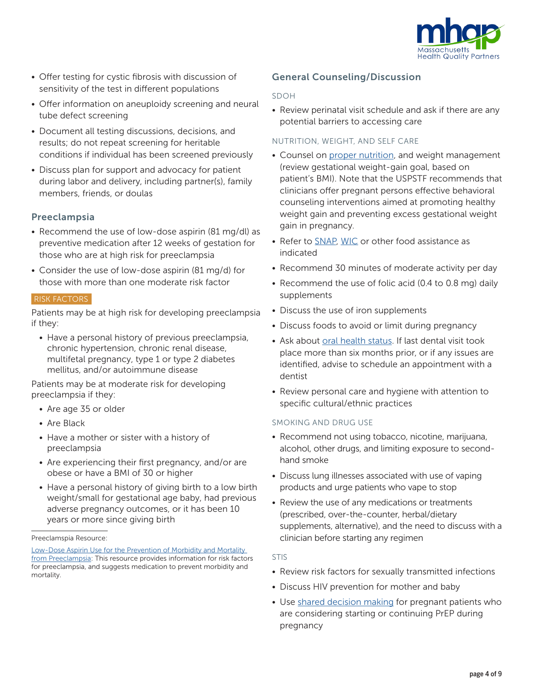

- Offer testing for cystic fibrosis with discussion of sensitivity of the test in different populations
- Offer information on aneuploidy screening and neural tube defect screening
- Document all testing discussions, decisions, and results; do not repeat screening for heritable conditions if individual has been screened previously
- Discuss plan for support and advocacy for patient during labor and delivery, including partner(s), family members, friends, or doulas

# Preeclampsia

- Recommend the use of low-dose aspirin (81 mg/dl) as preventive medication after 12 weeks of gestation for those who are at high risk for preeclampsia
- Consider the use of low-dose aspirin (81 mg/d) for those with more than one moderate risk factor

# RISK FACTORS

Patients may be at high risk for developing preeclampsia if they:

• Have a personal history of previous preeclampsia, chronic hypertension, chronic renal disease, multifetal pregnancy, type 1 or type 2 diabetes mellitus, and/or autoimmune disease

Patients may be at moderate risk for developing preeclampsia if they:

- Are age 35 or older
- Are Black
- Have a mother or sister with a history of preeclampsia
- Are experiencing their first pregnancy, and/or are obese or have a BMI of 30 or higher
- Have a personal history of giving birth to a low birth weight/small for gestational age baby, had previous adverse pregnancy outcomes, or it has been 10 years or more since giving birth

# General Counseling/Discussion

## SDOH

• Review perinatal visit schedule and ask if there are any potential barriers to accessing care

# NUTRITION, WEIGHT, AND SELF CARE

- Counsel on [proper nutrition,](https://www.acog.org/womens-health/faqs/nutrition-during-pregnancy?utm_source=redirect&utm_medium=web&utm_campaign=otn) and weight management (review gestational weight-gain goal, based on patient's BMI). Note that the USPSTF recommends that clinicians offer pregnant persons effective behavioral counseling interventions aimed at promoting healthy weight gain and preventing excess gestational weight gain in pregnancy.
- Refer to [SNAP,](https://www.mass.gov/snap-benefits-formerly-food-stamps) [WIC](https://www.mass.gov/wic-information-for-participants) or other food assistance as indicated
- Recommend 30 minutes of moderate activity per day
- Recommend the use of folic acid (0.4 to 0.8 mg) daily supplements
- Discuss the use of iron supplements
- Discuss foods to avoid or limit during pregnancy
- Ask about [oral health status.](https://www.mchoralhealth.org/) If last dental visit took place more than six months prior, or if any issues are identified, advise to schedule an appointment with a dentist
- Review personal care and hygiene with attention to specific cultural/ethnic practices

# SMOKING AND DRUG USE

- Recommend not using tobacco, nicotine, marijuana, alcohol, other drugs, and limiting exposure to secondhand smoke
- Discuss lung illnesses associated with use of vaping products and urge patients who vape to stop
- Review the use of any medications or treatments (prescribed, over-the-counter, herbal/dietary supplements, alternative), and the need to discuss with a clinician before starting any regimen

## STIS

- Review risk factors for sexually transmitted infections
- Discuss HIV prevention for mother and baby
- Use [shared decision making](https://jamanetwork.com/journals/jama/fullarticle/2735509) for pregnant patients who are considering starting or continuing PrEP during pregnancy

Preeclamspia Resource:

[Low-Dose Aspirin Use for the Prevention of Morbidity and Mortality](https://www.uspreventiveservicestaskforce.org/uspstf/document/RecommendationStatementFinal/low-dose-aspirin-use-for-the-prevention-of-morbidity-and-mortality-from-preeclampsia-preventive-medication)  [from Preeclampsia](https://www.uspreventiveservicestaskforce.org/uspstf/document/RecommendationStatementFinal/low-dose-aspirin-use-for-the-prevention-of-morbidity-and-mortality-from-preeclampsia-preventive-medication): This resource provides information for risk factors for preeclampsia, and suggests medication to prevent morbidity and mortality.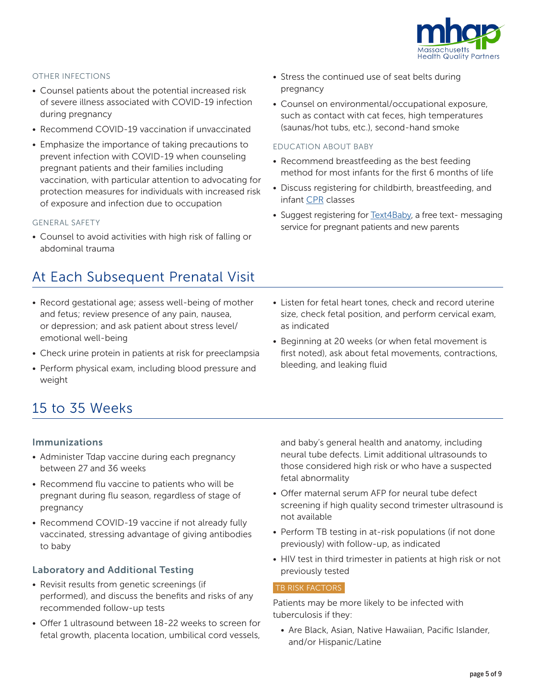

# OTHER INFECTIONS

- Counsel patients about the potential increased risk of severe illness associated with COVID-19 infection during pregnancy
- Recommend COVID-19 vaccination if unvaccinated
- Emphasize the importance of taking precautions to prevent infection with COVID-19 when counseling pregnant patients and their families including vaccination, with particular attention to advocating for protection measures for individuals with increased risk of exposure and infection due to occupation

#### GENERAL SAFETY

• Counsel to avoid activities with high risk of falling or abdominal trauma

# At Each Subsequent Prenatal Visit

- Record gestational age; assess well-being of mother and fetus; review presence of any pain, nausea, or depression; and ask patient about stress level/ emotional well-being
- Check urine protein in patients at risk for preeclampsia
- Perform physical exam, including blood pressure and weight
- Stress the continued use of seat belts during pregnancy
- Counsel on environmental/occupational exposure, such as contact with cat feces, high temperatures (saunas/hot tubs, etc.), second-hand smoke

#### EDUCATION ABOUT BABY

- Recommend breastfeeding as the best feeding method for most infants for the first 6 months of life
- Discuss registering for childbirth, breastfeeding, and infant [CPR](http://www.redcross.org/take-a-class/cpr) classes
- Suggest registering for [Text4Baby](https://www.text4baby.org/), a free text- messaging service for pregnant patients and new parents
- Listen for fetal heart tones, check and record uterine size, check fetal position, and perform cervical exam, as indicated
- Beginning at 20 weeks (or when fetal movement is first noted), ask about fetal movements, contractions, bleeding, and leaking fluid

# 15 to 35 Weeks

## Immunizations

- Administer Tdap vaccine during each pregnancy between 27 and 36 weeks
- Recommend flu vaccine to patients who will be pregnant during flu season, regardless of stage of pregnancy
- Recommend COVID-19 vaccine if not already fully vaccinated, stressing advantage of giving antibodies to baby

# Laboratory and Additional Testing

- Revisit results from genetic screenings (if performed), and discuss the benefits and risks of any recommended follow-up tests
- Offer 1 ultrasound between 18-22 weeks to screen for fetal growth, placenta location, umbilical cord vessels,

and baby's general health and anatomy, including neural tube defects. Limit additional ultrasounds to those considered high risk or who have a suspected fetal abnormality

- Offer maternal serum AFP for neural tube defect screening if high quality second trimester ultrasound is not available
- Perform TB testing in at-risk populations (if not done previously) with follow-up, as indicated
- HIV test in third trimester in patients at high risk or not previously tested

#### TB RISK FACTORS

Patients may be more likely to be infected with tuberculosis if they:

• Are Black, Asian, Native Hawaiian, Pacific Islander, and/or Hispanic/Latine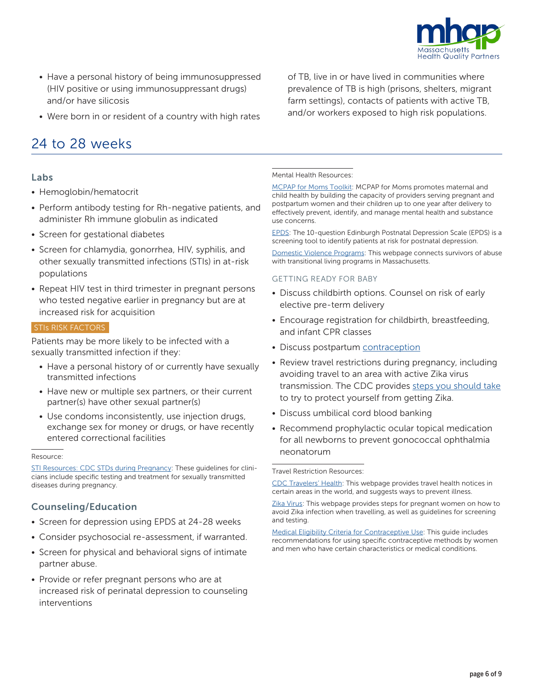

- Have a personal history of being immunosuppressed (HIV positive or using immunosuppressant drugs) and/or have silicosis
- Were born in or resident of a country with high rates

# 24 to 28 weeks

# Labs

- Hemoglobin/hematocrit
- Perform antibody testing for Rh-negative patients, and administer Rh immune globulin as indicated
- Screen for gestational diabetes
- Screen for chlamydia, gonorrhea, HIV, syphilis, and other sexually transmitted infections (STIs) in at-risk populations
- Repeat HIV test in third trimester in pregnant persons who tested negative earlier in pregnancy but are at increased risk for acquisition

# STIs RISK FACTORS

Patients may be more likely to be infected with a sexually transmitted infection if they:

- Have a personal history of or currently have sexually transmitted infections
- Have new or multiple sex partners, or their current partner(s) have other sexual partner(s)
- Use condoms inconsistently, use injection drugs, exchange sex for money or drugs, or have recently entered correctional facilities

#### Resource:

[STI Resources: CDC STDs during Pregnancy](https://www.cdc.gov/std/pregnancy/stdfact-pregnancy-detailed.htm): These guidelines for clinicians include specific testing and treatment for sexually transmitted diseases during pregnancy.

# Counseling/Education

- Screen for depression using EPDS at 24-28 weeks
- Consider psychosocial re-assessment, if warranted.
- Screen for physical and behavioral signs of intimate partner abuse.
- Provide or refer pregnant persons who are at increased risk of perinatal depression to counseling interventions

#### Mental Health Resources:

[MCPAP for Moms Toolkit:](https://www.mcpapformoms.org/Toolkits/Toolkit.aspx) MCPAP for Moms promotes maternal and child health by building the capacity of providers serving pregnant and postpartum women and their children up to one year after delivery to effectively prevent, identify, and manage mental health and substance use concerns.

of TB, live in or have lived in communities where prevalence of TB is high (prisons, shelters, migrant farm settings), contacts of patients with active TB, and/or workers exposed to high risk populations.

[EPDS:](https://www.fresno.ucsf.edu/pediatrics/downloads/edinburghscale.pdf) The 10-question Edinburgh Postnatal Depression Scale (EPDS) is a screening tool to identify patients at risk for postnatal depression.

[Domestic Violence Programs:](https://www.mass.gov/service-details/domestic-violence-programs-for-survivors) This webpage connects survivors of abuse with transitional living programs in Massachusetts.

#### GETTING READY FOR BABY

- Discuss childbirth options. Counsel on risk of early elective pre-term delivery
- Encourage registration for childbirth, breastfeeding, and infant CPR classes
- Discuss postpartum [contraception](https://www.cdc.gov/reproductivehealth/contraception/pdf/summary-chart-us-medical-eligibility-criteria_508tagged.pdf)
- Review travel restrictions during pregnancy, including avoiding travel to an area with active Zika virus transmission. The CDC provides [steps you should take](https://www.cdc.gov/pregnancy/zika/protect-yourself.html?CDC_AA_refVal=https%3A%2F%2Fwww.cdc.gov%2Fzika%2Fpregnancy%2Fprotect-yourself.html) to try to protect yourself from getting Zika.
- Discuss umbilical cord blood banking
- Recommend prophylactic ocular topical medication for all newborns to prevent gonococcal ophthalmia neonatorum

Travel Restriction Resources:

[CDC Travelers' Health](https://wwwnc.cdc.gov/travel): This webpage provides travel health notices in certain areas in the world, and suggests ways to prevent illness.

[Zika Virus:](https://www.cdc.gov/pregnancy/zika/testing-follow-up/pregnant-woman.html?CDC_AA_refVal=https%3A%2F%2Fwww.cdc.gov%2Fzika%2Fhc-providers%2Fpregnant-woman.html) This webpage provides steps for pregnant women on how to avoid Zika infection when travelling, as well as guidelines for screening and testing.

[Medical Eligibility Criteria for Contraceptive Use](https://www.cdc.gov/reproductivehealth/contraception/mmwr/mec/summary.html): This guide includes recommendations for using specific contraceptive methods by women and men who have certain characteristics or medical conditions.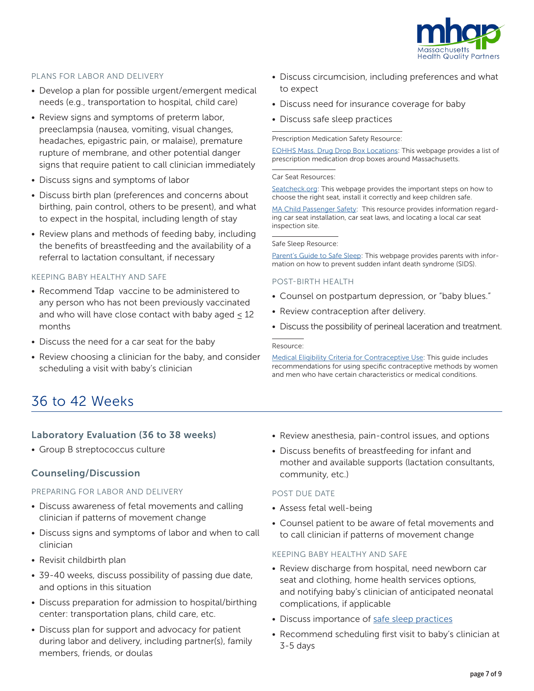

# PLANS FOR LABOR AND DELIVERY

- Develop a plan for possible urgent/emergent medical needs (e.g., transportation to hospital, child care)
- Review signs and symptoms of preterm labor, preeclampsia (nausea, vomiting, visual changes, headaches, epigastric pain, or malaise), premature rupture of membrane, and other potential danger signs that require patient to call clinician immediately
- Discuss signs and symptoms of labor
- Discuss birth plan (preferences and concerns about birthing, pain control, others to be present), and what to expect in the hospital, including length of stay
- Review plans and methods of feeding baby, including the benefits of breastfeeding and the availability of a referral to lactation consultant, if necessary

## KEEPING BABY HEALTHY AND SAFE

- Recommend Tdap vaccine to be administered to any person who has not been previously vaccinated and who will have close contact with baby aged  $<$  12 months
- Discuss the need for a car seat for the baby
- Review choosing a clinician for the baby, and consider scheduling a visit with baby's clinician
- Discuss circumcision, including preferences and what to expect
- Discuss need for insurance coverage for baby
- Discuss safe sleep practices

#### Prescription Medication Safety Resource:

[EOHHS Mass. Drug Drop Box Locations](https://www.mass.gov/service-details/prescription-dropbox-locations): This webpage provides a list of prescription medication drop boxes around Massachusetts.

#### Car Seat Resources:

[Seatcheck.org:](https://www.nhtsa.gov/equipment/car-seats-and-booster-seats) This webpage provides the important steps on how to choose the right seat, install it correctly and keep children safe.

[MA Child Passenger Safety:](https://www.mass.gov/car-seat-safety) This resource provides information regarding car seat installation, car seat laws, and locating a local car seat inspection site.

#### Safe Sleep Resource:

[Parent's Guide to Safe Sleep](https://www.in.gov/dcs/files/SIDSparentsafesleep.pdf): This webpage provides parents with information on how to prevent sudden infant death syndrome (SIDS).

#### POST-BIRTH HEALTH

- Counsel on postpartum depression, or "baby blues."
- Review contraception after delivery.
- Discuss the possibility of perineal laceration and treatment.

#### Resource:

[Medical Eligibility Criteria for Contraceptive Use](https://www.cdc.gov/reproductivehealth/contraception/mmwr/mec/summary.html): This guide includes recommendations for using specific contraceptive methods by women and men who have certain characteristics or medical conditions.

# 36 to 42 Weeks

# Laboratory Evaluation (36 to 38 weeks)

• Group B streptococcus culture

# Counseling/Discussion

## PREPARING FOR LABOR AND DELIVERY

- Discuss awareness of fetal movements and calling clinician if patterns of movement change
- Discuss signs and symptoms of labor and when to call clinician
- Revisit childbirth plan
- 39-40 weeks, discuss possibility of passing due date, and options in this situation
- Discuss preparation for admission to hospital/birthing center: transportation plans, child care, etc.
- Discuss plan for support and advocacy for patient during labor and delivery, including partner(s), family members, friends, or doulas
- Review anesthesia, pain-control issues, and options
- Discuss benefits of breastfeeding for infant and mother and available supports (lactation consultants, community, etc.)

#### POST DUE DATE

- Assess fetal well-being
- Counsel patient to be aware of fetal movements and to call clinician if patterns of movement change

## KEEPING BABY HEALTHY AND SAFE

- Review discharge from hospital, need newborn car seat and clothing, home health services options, and notifying baby's clinician of anticipated neonatal complications, if applicable
- Discuss importance of [safe sleep practices](https://www.cdc.gov/vitalsigns/safesleep/index.html)
- Recommend scheduling first visit to baby's clinician at 3-5 days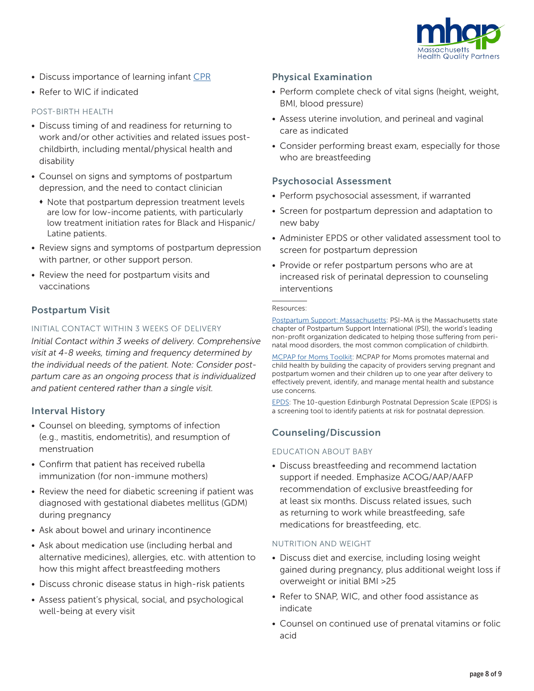

- Discuss importance of learning infant [CPR](http://www.redcross.org/take-a-class/cpr)
- Refer to WIC if indicated

# POST-BIRTH HEALTH

- Discuss timing of and readiness for returning to work and/or other activities and related issues postchildbirth, including mental/physical health and disability
- Counsel on signs and symptoms of postpartum depression, and the need to contact clinician
	- Note that postpartum depression treatment levels are low for low-income patients, with particularly low treatment initiation rates for Black and Hispanic/ Latine patients.
- Review signs and symptoms of postpartum depression with partner, or other support person.
- Review the need for postpartum visits and vaccinations

# Postpartum Visit

# INITIAL CONTACT WITHIN 3 WEEKS OF DELIVERY

*Initial Contact within 3 weeks of delivery. Comprehensive visit at 4-8 weeks, timing and frequency determined by the individual needs of the patient. Note: Consider postpartum care as an ongoing process that is individualized and patient centered rather than a single visit.*

# Interval History

- Counsel on bleeding, symptoms of infection (e.g., mastitis, endometritis), and resumption of menstruation
- Confirm that patient has received rubella immunization (for non-immune mothers)
- Review the need for diabetic screening if patient was diagnosed with gestational diabetes mellitus (GDM) during pregnancy
- Ask about bowel and urinary incontinence
- Ask about medication use (including herbal and alternative medicines), allergies, etc. with attention to how this might affect breastfeeding mothers
- Discuss chronic disease status in high-risk patients
- Assess patient's physical, social, and psychological well-being at every visit

# Physical Examination

- Perform complete check of vital signs (height, weight, BMI, blood pressure)
- Assess uterine involution, and perineal and vaginal care as indicated
- Consider performing breast exam, especially for those who are breastfeeding

# Psychosocial Assessment

- Perform psychosocial assessment, if warranted
- Screen for postpartum depression and adaptation to new baby
- Administer EPDS or other validated assessment tool to screen for postpartum depression
- Provide or refer postpartum persons who are at increased risk of perinatal depression to counseling interventions

#### Resources:

[Postpartum Support: Massachusetts:](https://psichapters.com/ma/) PSI-MA is the Massachusetts state chapter of Postpartum Support International (PSI), the world's leading non-profit organization dedicated to helping those suffering from perinatal mood disorders, the most common complication of childbirth.

[MCPAP for Moms Toolkit:](https://www.mcpapformoms.org/Toolkits/Toolkit.aspx) MCPAP for Moms promotes maternal and child health by building the capacity of providers serving pregnant and postpartum women and their children up to one year after delivery to effectively prevent, identify, and manage mental health and substance use concerns.

[EPDS:](https://www.fresno.ucsf.edu/pediatrics/downloads/edinburghscale.pdf) The 10-question Edinburgh Postnatal Depression Scale (EPDS) is a screening tool to identify patients at risk for postnatal depression.

# Counseling/Discussion

# EDUCATION ABOUT BABY

• Discuss breastfeeding and recommend lactation support if needed. Emphasize ACOG/AAP/AAFP recommendation of exclusive breastfeeding for at least six months. Discuss related issues, such as returning to work while breastfeeding, safe medications for breastfeeding, etc.

# NUTRITION AND WEIGHT

- Discuss diet and exercise, including losing weight gained during pregnancy, plus additional weight loss if overweight or initial BMI >25
- Refer to SNAP, WIC, and other food assistance as indicate
- Counsel on continued use of prenatal vitamins or folic acid